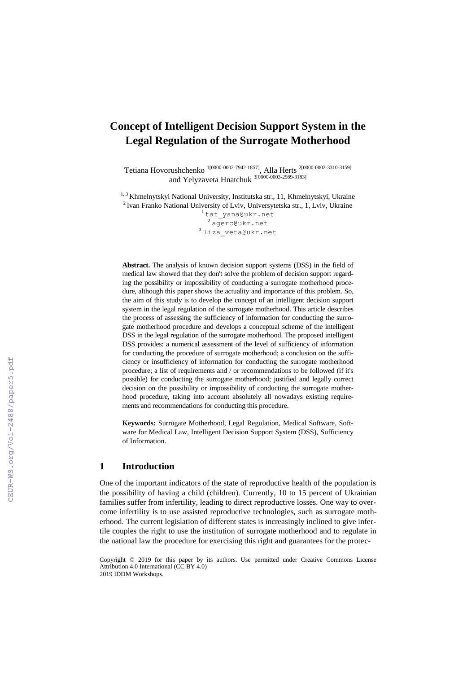# **Concept of Intelligent Decision Support System in the Legal Regulation of the Surrogate Motherhood**

Tetiana Hovorushchenko 1[0000-0002-7942-1857] , Alla Herts 2[0000-0002-3310-3159] and Yelyzaveta Hnatchuk 3<sup>[0000-0003-2989-3183]</sup>

<sup>1, 3</sup> Khmelnytskyi National University, Institutska str., 11, Khmelnytskyi, Ukraine <sup>2</sup> Ivan Franko National University of Lviv, Universytetska str., 1, Lviv, Ukraine

1 tat yana@ukr.net <sup>2</sup> agerc@ukr.net  $3$  liza veta@ukr.net

**Abstract.** The analysis of known decision support systems (DSS) in the field of medical law showed that they don't solve the problem of decision support regarding the possibility or impossibility of conducting a surrogate motherhood procedure, although this paper shows the actuality and importance of this problem. So, the aim of this study is to develop the concept of an intelligent decision support system in the legal regulation of the surrogate motherhood. This article describes the process of assessing the sufficiency of information for conducting the surrogate motherhood procedure and develops a conceptual scheme of the intelligent DSS in the legal regulation of the surrogate motherhood. The proposed intelligent DSS provides: a numerical assessment of the level of sufficiency of information for conducting the procedure of surrogate motherhood; a conclusion on the sufficiency or insufficiency of information for conducting the surrogate motherhood procedure; a list of requirements and / or recommendations to be followed (if it's possible) for conducting the surrogate motherhood; justified and legally correct decision on the possibility or impossibility of conducting the surrogate motherhood procedure, taking into account absolutely all nowadays existing requirements and recommendations for conducting this procedure.

**Keywords:** Surrogate Motherhood, Legal Regulation, Medical Software, Software for Medical Law, Intelligent Decision Support System (DSS), Sufficiency of Information.

#### **1 Introduction**

One of the important indicators of the state of reproductive health of the population is the possibility of having a child (children). Currently, 10 to 15 percent of Ukrainian families suffer from infertility, leading to direct reproductive losses. One way to overcome infertility is to use assisted reproductive technologies, such as surrogate motherhood. The current legislation of different states is increasingly inclined to give infertile couples the right to use the institution of surrogate motherhood and to regulate in the national law the procedure for exercising this right and guarantees for the prote c-

2019 IDDM Workshops. Attribution 4.0 International (CC BY 4.0) Copyright © 2019 for this paper by its authors. Use permitted under Creative Commons License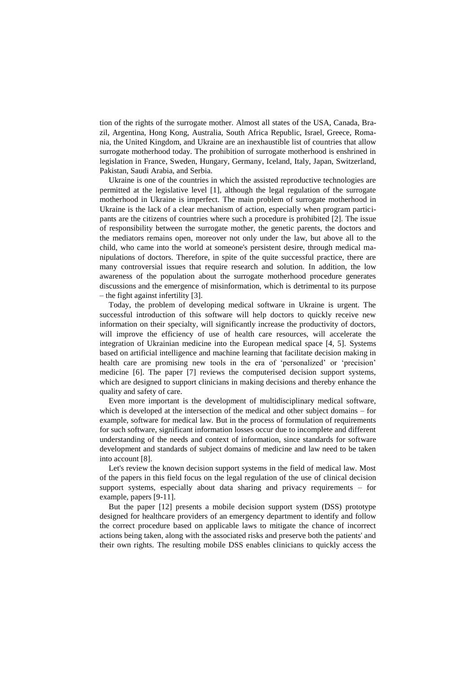tion of the rights of the surrogate mother. Almost all states of the USA, Canada, Brazil, Argentina, Hong Kong, Australia, South Africa Republic, Israel, Greece, Romania, the United Kingdom, and Ukraine are an inexhaustible list of countries that allow surrogate motherhood today. The prohibition of surrogate motherhood is enshrined in legislation in France, Sweden, Hungary, Germany, Iceland, Italy, Japan, Switzerland, Pakistan, Saudi Arabia, and Serbia.

Ukraine is one of the countries in which the assisted reproductive technologies are permitted at the legislative level [1], although the legal regulation of the surrogate motherhood in Ukraine is imperfect. The main problem of surrogate motherhood in Ukraine is the lack of a clear mechanism of action, especially when program participants are the citizens of countries where such a procedure is prohibited [2]. The issue of responsibility between the surrogate mother, the genetic parents, the doctors and the mediators remains open, moreover not only under the law, but above all to the child, who came into the world at someone's persistent desire, through medical manipulations of doctors. Therefore, in spite of the quite successful practice, there are many controversial issues that require research and solution. In addition, the low awareness of the population about the surrogate motherhood procedure generates discussions and the emergence of misinformation, which is detrimental to its purpose – the fight against infertility [3].

Today, the problem of developing medical software in Ukraine is urgent. The successful introduction of this software will help doctors to quickly receive new information on their specialty, will significantly increase the productivity of doctors, will improve the efficiency of use of health care resources, will accelerate the integration of Ukrainian medicine into the European medical space [4, 5]. Systems based on artificial intelligence and machine learning that facilitate decision making in health care are promising new tools in the era of 'personalized' or 'precision' medicine [6]. The paper [7] reviews the computerised decision support systems, which are designed to support clinicians in making decisions and thereby enhance the quality and safety of care.

Even more important is the development of multidisciplinary medical software, which is developed at the intersection of the medical and other subject domains – for example, software for medical law. But in the process of formulation of requirements for such software, significant information losses occur due to incomplete and different understanding of the needs and context of information, since standards for software development and standards of subject domains of medicine and law need to be taken into account [8].

Let's review the known decision support systems in the field of medical law. Most of the papers in this field focus on the legal regulation of the use of clinical decision support systems, especially about data sharing and privacy requirements – for example, papers [9-11].

But the paper [12] presents a mobile decision support system (DSS) prototype designed for healthcare providers of an emergency department to identify and follow the correct procedure based on applicable laws to mitigate the chance of incorrect actions being taken, along with the associated risks and preserve both the patients' and their own rights. The resulting mobile DSS enables clinicians to quickly access the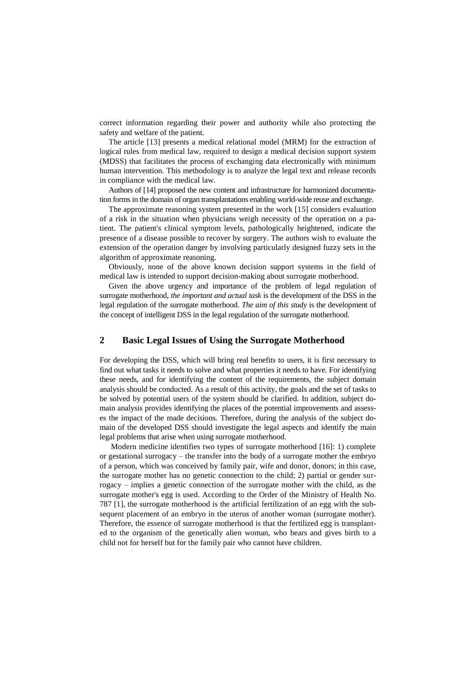correct information regarding their power and authority while also protecting the safety and welfare of the patient.

The article [13] presents a medical relational model (MRM) for the extraction of logical rules from medical law, required to design a medical decision support system (MDSS) that facilitates the process of exchanging data electronically with minimum human intervention. This methodology is to analyze the legal text and release records in compliance with the medical law.

Authors of [14] proposed the new content and infrastructure for harmonized documentation forms in the domain of organ transplantations enabling world-wide reuse and exchange.

The approximate reasoning system presented in the work [15] considers evaluation of a risk in the situation when physicians weigh necessity of the operation on a patient. The patient's clinical symptom levels, pathologically heightened, indicate the presence of a disease possible to recover by surgery. The authors wish to evaluate the extension of the operation danger by involving particularly designed fuzzy sets in the algorithm of approximate reasoning.

Obviously, none of the above known decision support systems in the field of medical law is intended to support decision-making about surrogate motherhood.

Given the above urgency and importance of the problem of legal regulation of surrogate motherhood, *the important and actual task* is the development of the DSS in the legal regulation of the surrogate motherhood. *The aim of this study* is the development of the concept of intelligent DSS in the legal regulation of the surrogate motherhood.

### **2 Basic Legal Issues of Using the Surrogate Motherhood**

For developing the DSS, which will bring real benefits to users, it is first necessary to find out what tasks it needs to solve and what properties it needs to have. For identifying these needs, and for identifying the content of the requirements, the subject domain analysis should be conducted. As a result of this activity, the goals and the set of tasks to be solved by potential users of the system should be clarified. In addition, subject domain analysis provides identifying the places of the potential improvements and assesses the impact of the made decisions. Therefore, during the analysis of the subject domain of the developed DSS should investigate the legal aspects and identify the main legal problems that arise when using surrogate motherhood.

Modern medicine identifies two types of surrogate motherhood [16]: 1) complete or gestational surrogacy – the transfer into the body of a surrogate mother the embryo of a person, which was conceived by family pair, wife and donor, donors; in this case, the surrogate mother has no genetic connection to the child; 2) partial or gender surrogacy – implies a genetic connection of the surrogate mother with the child, as the surrogate mother's egg is used. According to the Order of the Ministry of Health No. 787 [1], the surrogate motherhood is the artificial fertilization of an egg with the subsequent placement of an embryo in the uterus of another woman (surrogate mother). Therefore, the essence of surrogate motherhood is that the fertilized egg is transplanted to the organism of the genetically alien woman, who bears and gives birth to a child not for herself but for the family pair who cannot have children.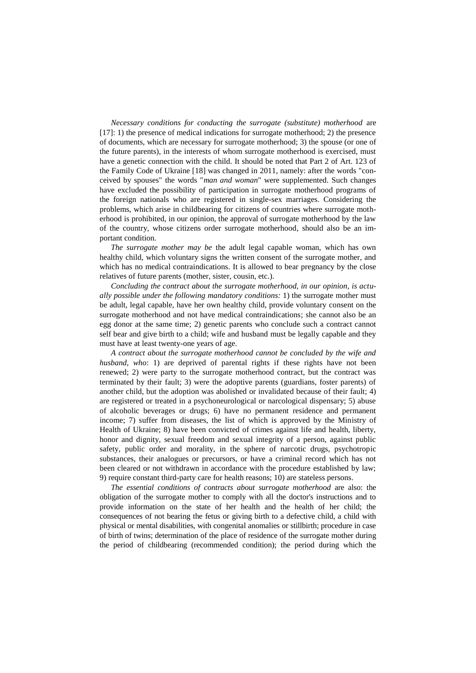*Necessary conditions for conducting the surrogate (substitute) motherhood are* [17]: 1) the presence of medical indications for surrogate motherhood; 2) the presence of documents, which are necessary for surrogate motherhood; 3) the spouse (or one of the future parents), in the interests of whom surrogate motherhood is exercised, must have a genetic connection with the child. It should be noted that Part 2 of Art. 123 of the Family Code of Ukraine [18] was changed in 2011, namely: after the words "conceived by spouses" the words "*man and woman*" were supplemented. Such changes have excluded the possibility of participation in surrogate motherhood programs of the foreign nationals who are registered in single-sex marriages. Considering the problems, which arise in childbearing for citizens of countries where surrogate motherhood is prohibited, in our opinion, the approval of surrogate motherhood by the law of the country, whose citizens order surrogate motherhood, should also be an important condition.

*The surrogate mother may be* the adult legal capable woman, which has own healthy child, which voluntary signs the written consent of the surrogate mother, and which has no medical contraindications. It is allowed to bear pregnancy by the close relatives of future parents (mother, sister, cousin, etc.).

*Concluding the contract about the surrogate motherhood, in our opinion, is actually possible under the following mandatory conditions:* 1) the surrogate mother must be adult, legal capable, have her own healthy child, provide voluntary consent on the surrogate motherhood and not have medical contraindications; she cannot also be an egg donor at the same time; 2) genetic parents who conclude such a contract cannot self bear and give birth to a child; wife and husband must be legally capable and they must have at least twenty-one years of age.

*A contract about the surrogate motherhood cannot be concluded by the wife and husband, who*: 1) are deprived of parental rights if these rights have not been renewed; 2) were party to the surrogate motherhood contract, but the contract was terminated by their fault; 3) were the adoptive parents (guardians, foster parents) of another child, but the adoption was abolished or invalidated because of their fault; 4) are registered or treated in a psychoneurological or narcological dispensary; 5) abuse of alcoholic beverages or drugs; 6) have no permanent residence and permanent income; 7) suffer from diseases, the list of which is approved by the Ministry of Health of Ukraine; 8) have been convicted of crimes against life and health, liberty, honor and dignity, sexual freedom and sexual integrity of a person, against public safety, public order and morality, in the sphere of narcotic drugs, psychotropic substances, their analogues or precursors, or have a criminal record which has not been cleared or not withdrawn in accordance with the procedure established by law; 9) require constant third-party care for health reasons; 10) are stateless persons.

*The essential conditions of contracts about surrogate motherhood* are also: the obligation of the surrogate mother to comply with all the doctor's instructions and to provide information on the state of her health and the health of her child; the consequences of not bearing the fetus or giving birth to a defective child, a child with physical or mental disabilities, with congenital anomalies or stillbirth; procedure in case of birth of twins; determination of the place of residence of the surrogate mother during the period of childbearing (recommended condition); the period during which the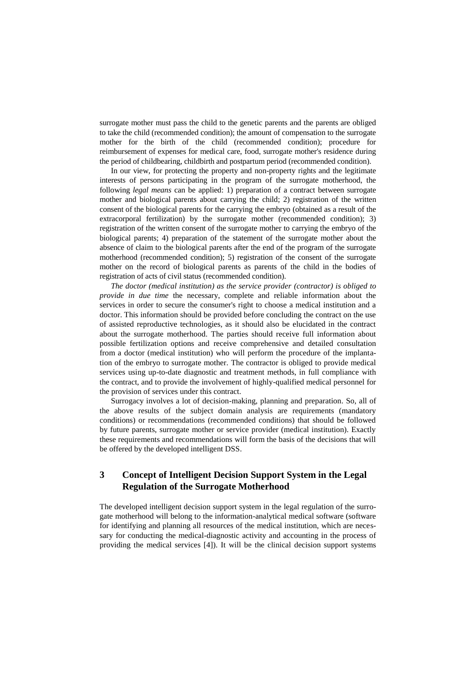surrogate mother must pass the child to the genetic parents and the parents are obliged to take the child (recommended condition); the amount of compensation to the surrogate mother for the birth of the child (recommended condition); procedure for reimbursement of expenses for medical care, food, surrogate mother's residence during the period of childbearing, childbirth and postpartum period (recommended condition).

In our view, for protecting the property and non-property rights and the legitimate interests of persons participating in the program of the surrogate motherhood, the following *legal means* can be applied: 1) preparation of a contract between surrogate mother and biological parents about carrying the child; 2) registration of the written consent of the biological parents for the carrying the embryo (obtained as a result of the extracorporal fertilization) by the surrogate mother (recommended condition); 3) registration of the written consent of the surrogate mother to carrying the embryo of the biological parents; 4) preparation of the statement of the surrogate mother about the absence of claim to the biological parents after the end of the program of the surrogate motherhood (recommended condition); 5) registration of the consent of the surrogate mother on the record of biological parents as parents of the child in the bodies of registration of acts of civil status (recommended condition).

*The doctor (medical institution) as the service provider (contractor) is obliged to provide in due time* the necessary, complete and reliable information about the services in order to secure the consumer's right to choose a medical institution and a doctor. This information should be provided before concluding the contract on the use of assisted reproductive technologies, as it should also be elucidated in the contract about the surrogate motherhood. The parties should receive full information about possible fertilization options and receive comprehensive and detailed consultation from a doctor (medical institution) who will perform the procedure of the implantation of the embryo to surrogate mother. The contractor is obliged to provide medical services using up-to-date diagnostic and treatment methods, in full compliance with the contract, and to provide the involvement of highly-qualified medical personnel for the provision of services under this contract.

Surrogacy involves a lot of decision-making, planning and preparation. So, all of the above results of the subject domain analysis are requirements (mandatory conditions) or recommendations (recommended conditions) that should be followed by future parents, surrogate mother or service provider (medical institution). Exactly these requirements and recommendations will form the basis of the decisions that will be offered by the developed intelligent DSS.

## **3 Concept of Intelligent Decision Support System in the Legal Regulation of the Surrogate Motherhood**

The developed intelligent decision support system in the legal regulation of the surrogate motherhood will belong to the information-analytical medical software (software for identifying and planning all resources of the medical institution, which are necessary for conducting the medical-diagnostic activity and accounting in the process of providing the medical services [4]). It will be the clinical decision support systems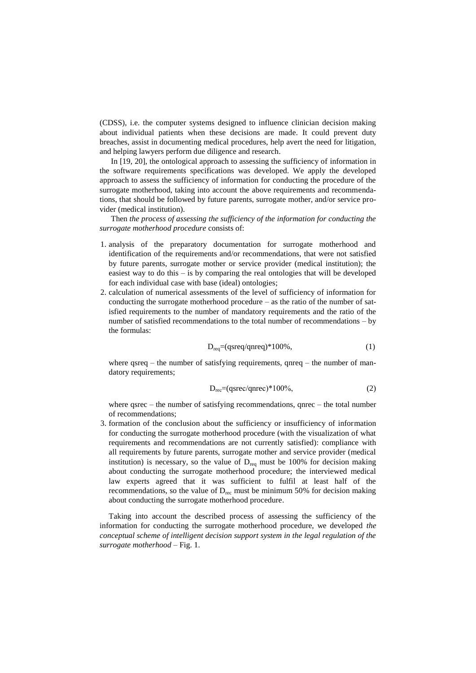(CDSS), i.e. the computer systems designed to influence clinician decision making about individual patients when these decisions are made. It could prevent duty breaches, assist in documenting medical procedures, help avert the need for litigation, and helping lawyers perform due diligence and research.

In [19, 20], the ontological approach to assessing the sufficiency of information in the software requirements specifications was developed. We apply the developed approach to assess the sufficiency of information for conducting the procedure of the surrogate motherhood, taking into account the above requirements and recommendations, that should be followed by future parents, surrogate mother, and/or service provider (medical institution).

Then *the process of assessing the sufficiency of the information for conducting the surrogate motherhood procedure* consists of:

- 1. analysis of the preparatory documentation for surrogate motherhood and identification of the requirements and/or recommendations, that were not satisfied by future parents, surrogate mother or service provider (medical institution); the easiest way to do this – is by comparing the real ontologies that will be developed for each individual case with base (ideal) ontologies;
- 2. calculation of numerical assessments of the level of sufficiency of information for conducting the surrogate motherhood procedure  $-$  as the ratio of the number of satisfied requirements to the number of mandatory requirements and the ratio of the number of satisfied recommendations to the total number of recommendations – by the formulas:

$$
D_{req} = (q \text{sreq/q} \cdot r \cdot 100\%,
$$
 (1)

where  $q<sub>q</sub>$  – the number of satisfying requirements, qnreq – the number of mandatory requirements;

$$
D_{\text{rec}} = (q \text{spec/qnrec})^* 100\%,\tag{2}
$$

where qsrec – the number of satisfying recommendations, qnrec – the total number of recommendations;

3. formation of the conclusion about the sufficiency or insufficiency of information for conducting the surrogate motherhood procedure (with the visualization of what requirements and recommendations are not currently satisfied): compliance with all requirements by future parents, surrogate mother and service provider (medical institution) is necessary, so the value of  $D_{\text{req}}$  must be 100% for decision making about conducting the surrogate motherhood procedure; the interviewed medical law experts agreed that it was sufficient to fulfil at least half of the recommendations, so the value of  $D_{rec}$  must be minimum 50% for decision making about conducting the surrogate motherhood procedure.

Taking into account the described process of assessing the sufficiency of the information for conducting the surrogate motherhood procedure, we developed *the conceptual scheme of intelligent decision support system in the legal regulation of the surrogate motherhood* – Fig. 1.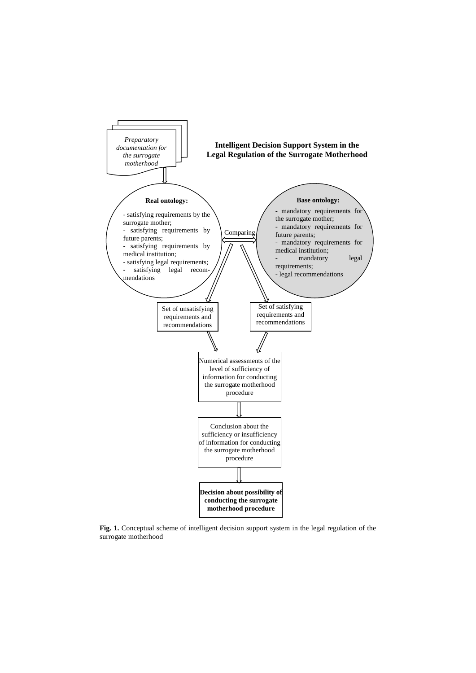

**Fig. 1.** Conceptual scheme of intelligent decision support system in the legal regulation of the surrogate motherhood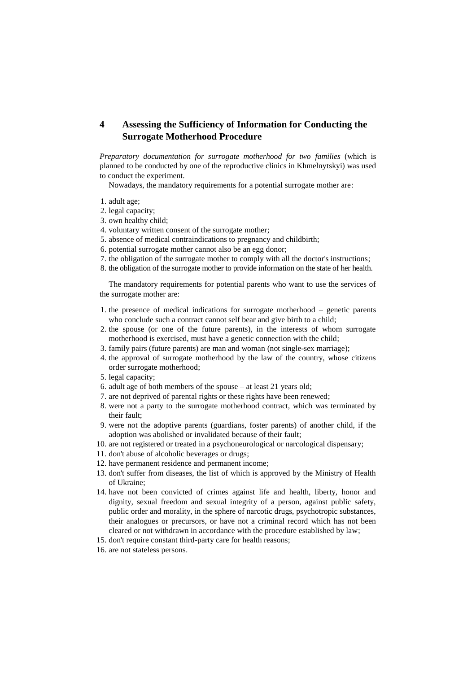## **4 Assessing the Sufficiency of Information for Conducting the Surrogate Motherhood Procedure**

*Preparatory documentation for surrogate motherhood for two families* (which is planned to be conducted by one of the reproductive clinics in Khmelnytskyi) was used to conduct the experiment.

Nowadays, the mandatory requirements for a potential surrogate mother are:

- 1. adult age;
- 2. legal capacity;
- 3. own healthy child;
- 4. voluntary written consent of the surrogate mother;
- 5. absence of medical contraindications to pregnancy and childbirth;
- 6. potential surrogate mother cannot also be an egg donor;
- 7. the obligation of the surrogate mother to comply with all the doctor's instructions;
- 8. the obligation of the surrogate mother to provide information on the state of her health.

The mandatory requirements for potential parents who want to use the services of the surrogate mother are:

- 1. the presence of medical indications for surrogate motherhood genetic parents who conclude such a contract cannot self bear and give birth to a child;
- 2. the spouse (or one of the future parents), in the interests of whom surrogate motherhood is exercised, must have a genetic connection with the child;
- 3. family pairs (future parents) are man and woman (not single-sex marriage);
- 4. the approval of surrogate motherhood by the law of the country, whose citizens order surrogate motherhood;
- 5. legal capacity;
- 6. adult age of both members of the spouse at least 21 years old;
- 7. are not deprived of parental rights or these rights have been renewed;
- 8. were not a party to the surrogate motherhood contract, which was terminated by their fault;
- 9. were not the adoptive parents (guardians, foster parents) of another child, if the adoption was abolished or invalidated because of their fault;
- 10. are not registered or treated in a psychoneurological or narcological dispensary;
- 11. don't abuse of alcoholic beverages or drugs;
- 12. have permanent residence and permanent income;
- 13. don't suffer from diseases, the list of which is approved by the Ministry of Health of Ukraine;
- 14. have not been convicted of crimes against life and health, liberty, honor and dignity, sexual freedom and sexual integrity of a person, against public safety, public order and morality, in the sphere of narcotic drugs, psychotropic substances, their analogues or precursors, or have not a criminal record which has not been cleared or not withdrawn in accordance with the procedure established by law;
- 15. don't require constant third-party care for health reasons;
- 16. are not stateless persons.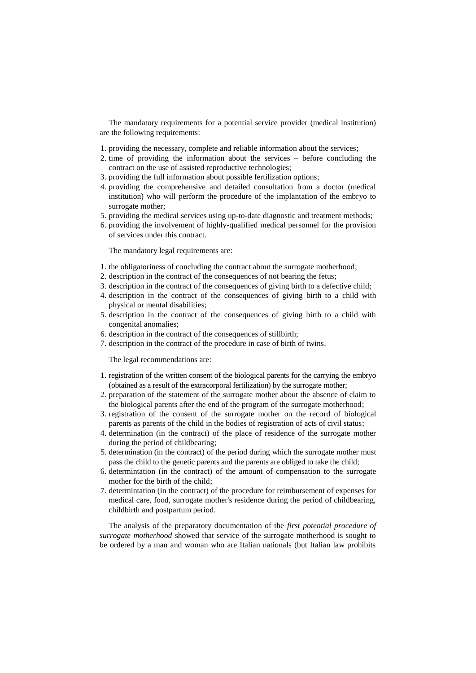The mandatory requirements for a potential service provider (medical institution) are the following requirements:

- 1. providing the necessary, complete and reliable information about the services;
- 2. time of providing the information about the services before concluding the contract on the use of assisted reproductive technologies;
- 3. providing the full information about possible fertilization options;
- 4. providing the comprehensive and detailed consultation from a doctor (medical institution) who will perform the procedure of the implantation of the embryo to surrogate mother;
- 5. providing the medical services using up-to-date diagnostic and treatment methods;
- 6. providing the involvement of highly-qualified medical personnel for the provision of services under this contract.

The mandatory legal requirements are:

- 1. the obligatoriness of concluding the contract about the surrogate motherhood;
- 2. description in the contract of the consequences of not bearing the fetus;
- 3. description in the contract of the consequences of giving birth to a defective child;
- 4. description in the contract of the consequences of giving birth to a child with physical or mental disabilities;
- 5. description in the contract of the consequences of giving birth to a child with congenital anomalies;
- 6. description in the contract of the consequences of stillbirth;
- 7. description in the contract of the procedure in case of birth of twins.

The legal recommendations are:

- 1. registration of the written consent of the biological parents for the carrying the embryo (obtained as a result of the extracorporal fertilization) by the surrogate mother;
- 2. preparation of the statement of the surrogate mother about the absence of claim to the biological parents after the end of the program of the surrogate motherhood;
- 3. registration of the consent of the surrogate mother on the record of biological parents as parents of the child in the bodies of registration of acts of civil status;
- 4. determination (in the contract) of the place of residence of the surrogate mother during the period of childbearing;
- 5. determination (in the contract) of the period during which the surrogate mother must pass the child to the genetic parents and the parents are obliged to take the child;
- 6. determintation (in the contract) of the amount of compensation to the surrogate mother for the birth of the child;
- 7. determintation (in the contract) of the procedure for reimbursement of expenses for medical care, food, surrogate mother's residence during the period of childbearing, childbirth and postpartum period.

The analysis of the preparatory documentation of the *first potential procedure of surrogate motherhood* showed that service of the surrogate motherhood is sought to be ordered by a man and woman who are Italian nationals (but Italian law prohibits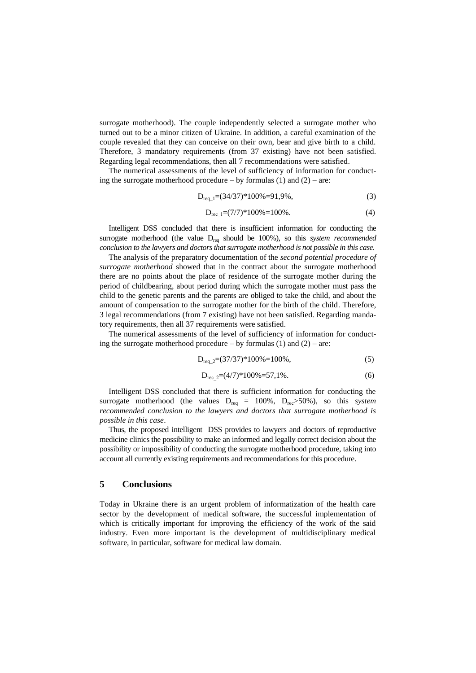surrogate motherhood). The couple independently selected a surrogate mother who turned out to be a minor citizen of Ukraine. In addition, a careful examination of the couple revealed that they can conceive on their own, bear and give birth to a child. Therefore, 3 mandatory requirements (from 37 existing) have not been satisfied. Regarding legal recommendations, then all 7 recommendations were satisfied.

The numerical assessments of the level of sufficiency of information for conducting the surrogate motherhood procedure – by formulas  $(1)$  and  $(2)$  – are:

$$
D_{\text{req}\_1} = (34/37)^* 100\% = 91,9\%,\tag{3}
$$

$$
D_{\text{rec }1} = (7/7)^* 100\% = 100\% \tag{4}
$$

Intelligent DSS concluded that there is insufficient information for conducting the surrogate motherhood (the value D<sub>req</sub> should be 100%), so this *system recommended conclusion to the lawyers and doctors that surrogate motherhood is not possible in this case*.

The analysis of the preparatory documentation of the *second potential procedure of surrogate motherhood* showed that in the contract about the surrogate motherhood there are no points about the place of residence of the surrogate mother during the period of childbearing, about period during which the surrogate mother must pass the child to the genetic parents and the parents are obliged to take the child, and about the amount of compensation to the surrogate mother for the birth of the child. Therefore, 3 legal recommendations (from 7 existing) have not been satisfied. Regarding mandatory requirements, then all 37 requirements were satisfied.

The numerical assessments of the level of sufficiency of information for conducting the surrogate motherhood procedure – by formulas (1) and (2) – are:

$$
D_{\text{req}\_2} = (37/37)^* 100\% = 100\%,\tag{5}
$$

$$
D_{\text{rec }2} = (4/7)^* 100\% = 57,1\% \tag{6}
$$

Intelligent DSS concluded that there is sufficient information for conducting the surrogate motherhood (the values  $D_{req} = 100\%$ ,  $D_{rec} > 50\%$ ), so this *system recommended conclusion to the lawyers and doctors that surrogate motherhood is possible in this case*.

Thus, the proposed intelligent DSS provides to lawyers and doctors of reproductive medicine clinics the possibility to make an informed and legally correct decision about the possibility or impossibility of conducting the surrogate motherhood procedure, taking into account all currently existing requirements and recommendations for this procedure.

#### **5 Conclusions**

Today in Ukraine there is an urgent problem of informatization of the health care sector by the development of medical software, the successful implementation of which is critically important for improving the efficiency of the work of the said industry. Even more important is the development of multidisciplinary medical software, in particular, software for medical law domain.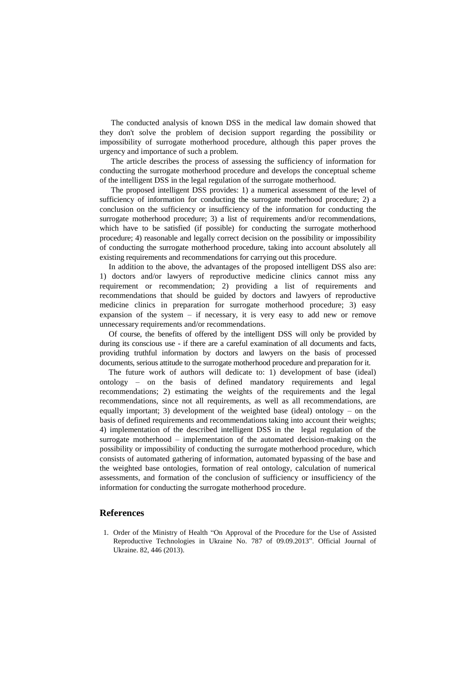The conducted analysis of known DSS in the medical law domain showed that they don't solve the problem of decision support regarding the possibility or impossibility of surrogate motherhood procedure, although this paper proves the urgency and importance of such a problem.

The article describes the process of assessing the sufficiency of information for conducting the surrogate motherhood procedure and develops the conceptual scheme of the intelligent DSS in the legal regulation of the surrogate motherhood.

The proposed intelligent DSS provides: 1) a numerical assessment of the level of sufficiency of information for conducting the surrogate motherhood procedure; 2) a conclusion on the sufficiency or insufficiency of the information for conducting the surrogate motherhood procedure; 3) a list of requirements and/or recommendations, which have to be satisfied (if possible) for conducting the surrogate motherhood procedure; 4) reasonable and legally correct decision on the possibility or impossibility of conducting the surrogate motherhood procedure, taking into account absolutely all existing requirements and recommendations for carrying out this procedure.

In addition to the above, the advantages of the proposed intelligent DSS also are: 1) doctors and/or lawyers of reproductive medicine clinics cannot miss any requirement or recommendation; 2) providing a list of requirements and recommendations that should be guided by doctors and lawyers of reproductive medicine clinics in preparation for surrogate motherhood procedure; 3) easy expansion of the system – if necessary, it is very easy to add new or remove unnecessary requirements and/or recommendations.

Of course, the benefits of offered by the intelligent DSS will only be provided by during its conscious use - if there are a careful examination of all documents and facts, providing truthful information by doctors and lawyers on the basis of processed documents, serious attitude to the surrogate motherhood procedure and preparation for it.

The future work of authors will dedicate to: 1) development of base (ideal) ontology – on the basis of defined mandatory requirements and legal recommendations; 2) estimating the weights of the requirements and the legal recommendations, since not all requirements, as well as all recommendations, are equally important; 3) development of the weighted base (ideal) ontology – on the basis of defined requirements and recommendations taking into account their weights; 4) implementation of the described intelligent DSS in the legal regulation of the surrogate motherhood – implementation of the automated decision-making on the possibility or impossibility of conducting the surrogate motherhood procedure, which consists of automated gathering of information, automated bypassing of the base and the weighted base ontologies, formation of real ontology, calculation of numerical assessments, and formation of the conclusion of sufficiency or insufficiency of the information for conducting the surrogate motherhood procedure.

#### **References**

1. Order of the Ministry of Health "On Approval of the Procedure for the Use of Assisted Reproductive Technologies in Ukraine No. 787 of 09.09.2013". Official Journal of Ukraine. 82, 446 (2013).